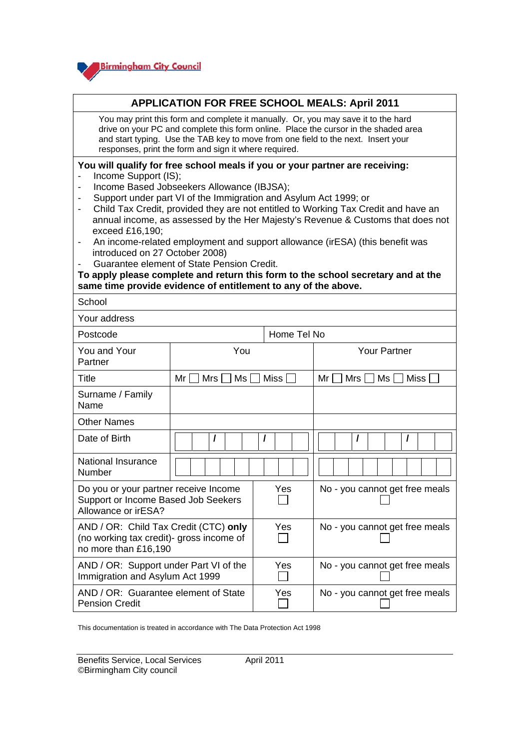

## **APPLICATION FOR FREE SCHOOL MEALS: April 2011**

You may print this form and complete it manually. Or, you may save it to the hard drive on your PC and complete this form online. Place the cursor in the shaded area and start typing. Use the TAB key to move from one field to the next. Insert your responses, print the form and sign it where required.

## **You will qualify for free school meals if you or your partner are receiving:**

- Income Support (IS);

 $\overline{\phantom{a}}$ 

- Income Based Jobseekers Allowance (IBJSA);
- Support under part VI of the Immigration and Asylum Act 1999; or
- Child Tax Credit, provided they are not entitled to Working Tax Credit and have an annual income, as assessed by the Her Majesty's Revenue & Customs that does not exceed £16,190;
- An income-related employment and support allowance (irESA) (this benefit was introduced on 27 October 2008)
- Guarantee element of State Pension Credit.

**To apply please complete and return this form to the school secretary and at the same time provide evidence of entitlement to any of the above.** 

| School                                                                                                    |                       |             |                                |  |  |  |  |  |  |  |
|-----------------------------------------------------------------------------------------------------------|-----------------------|-------------|--------------------------------|--|--|--|--|--|--|--|
| Your address                                                                                              |                       |             |                                |  |  |  |  |  |  |  |
| Postcode                                                                                                  |                       | Home Tel No |                                |  |  |  |  |  |  |  |
| You and Your<br>Partner                                                                                   | You                   |             | Your Partner                   |  |  |  |  |  |  |  |
| Title                                                                                                     | Mrs I<br>Ms I<br>Mr I | Miss        | Mr I<br>Mrs I<br>Ms I<br>Miss  |  |  |  |  |  |  |  |
| Surname / Family<br>Name                                                                                  |                       |             |                                |  |  |  |  |  |  |  |
| <b>Other Names</b>                                                                                        |                       |             |                                |  |  |  |  |  |  |  |
| Date of Birth                                                                                             |                       |             | I                              |  |  |  |  |  |  |  |
| National Insurance<br>Number                                                                              |                       |             |                                |  |  |  |  |  |  |  |
| Do you or your partner receive Income<br>Support or Income Based Job Seekers<br>Allowance or irESA?       |                       | Yes         | No - you cannot get free meals |  |  |  |  |  |  |  |
| AND / OR: Child Tax Credit (CTC) only<br>(no working tax credit)- gross income of<br>no more than £16,190 |                       | Yes         | No - you cannot get free meals |  |  |  |  |  |  |  |
| AND / OR: Support under Part VI of the<br>Immigration and Asylum Act 1999                                 |                       | Yes         | No - you cannot get free meals |  |  |  |  |  |  |  |
| AND / OR: Guarantee element of State<br><b>Pension Credit</b>                                             |                       | Yes         | No - you cannot get free meals |  |  |  |  |  |  |  |

This documentation is treated in accordance with The Data Protection Act 1998